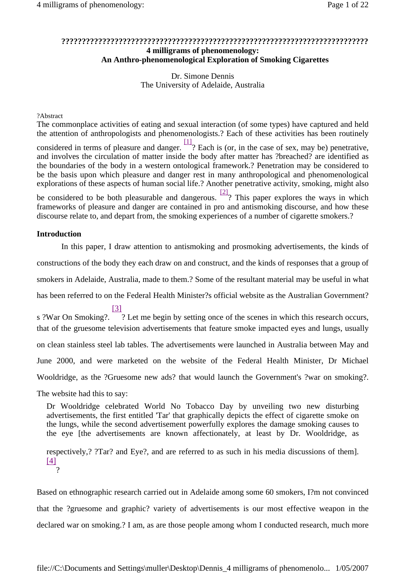# **??????????????????????????????????????????????????????????????????????????? 4 milligrams of phenomenology: An Anthro-phenomenological Exploration of Smoking Cigarettes**

# Dr. Simone Dennis The University of Adelaide, Australia

# ?Abstract

The commonplace activities of eating and sexual interaction (of some types) have captured and held the attention of anthropologists and phenomenologists.? Each of these activities has been routinely

considered in terms of pleasure and danger.  $\frac{[1]}{[1]}$ ? Each is (or, in the case of sex, may be) penetrative, and involves the circulation of matter inside the body after matter has ?breached? are identified as the boundaries of the body in a western ontological framework.? Penetration may be considered to be the basis upon which pleasure and danger rest in many anthropological and phenomenological explorations of these aspects of human social life.? Another penetrative activity, smoking, might also

be considered to be both pleasurable and dangerous.  $\frac{[2]}{[2]}$ ? This paper explores the ways in which frameworks of pleasure and danger are contained in pro and antismoking discourse, and how these discourse relate to, and depart from, the smoking experiences of a number of cigarette smokers.?

### **Introduction**

In this paper, I draw attention to antismoking and prosmoking advertisements, the kinds of constructions of the body they each draw on and construct, and the kinds of responses that a group of smokers in Adelaide, Australia, made to them.? Some of the resultant material may be useful in what has been referred to on the Federal Health Minister?s official website as the Australian Government? s ?War On Smoking?. [3] ? Let me begin by setting once of the scenes in which this research occurs, that of the gruesome television advertisements that feature smoke impacted eyes and lungs, usually on clean stainless steel lab tables. The advertisements were launched in Australia between May and June 2000, and were marketed on the website of the Federal Health Minister, Dr Michael Wooldridge, as the ?Gruesome new ads? that would launch the Government's ?war on smoking?.

The website had this to say:

Dr Wooldridge celebrated World No Tobacco Day by unveiling two new disturbing advertisements, the first entitled 'Tar' that graphically depicts the effect of cigarette smoke on the lungs, while the second advertisement powerfully explores the damage smoking causes to the eye [the advertisements are known affectionately, at least by Dr. Wooldridge, as

respectively,? ?Tar? and Eye?, and are referred to as such in his media discussions of them]. [4] ?

Based on ethnographic research carried out in Adelaide among some 60 smokers, I?m not convinced that the ?gruesome and graphic? variety of advertisements is our most effective weapon in the declared war on smoking.? I am, as are those people among whom I conducted research, much more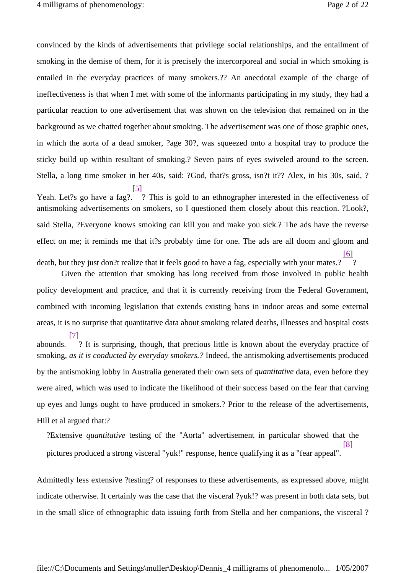convinced by the kinds of advertisements that privilege social relationships, and the entailment of smoking in the demise of them, for it is precisely the intercorporeal and social in which smoking is entailed in the everyday practices of many smokers.?? An anecdotal example of the charge of ineffectiveness is that when I met with some of the informants participating in my study, they had a particular reaction to one advertisement that was shown on the television that remained on in the background as we chatted together about smoking. The advertisement was one of those graphic ones, in which the aorta of a dead smoker, ?age 30?, was squeezed onto a hospital tray to produce the sticky build up within resultant of smoking.? Seven pairs of eyes swiveled around to the screen. Stella, a long time smoker in her 40s, said: ?God, that?s gross, isn?t it?? Alex, in his 30s, said, ? Yeah. Let?s go have a fag?. [5] ? This is gold to an ethnographer interested in the effectiveness of antismoking advertisements on smokers, so I questioned them closely about this reaction. ?Look?, said Stella, ?Everyone knows smoking can kill you and make you sick.? The ads have the reverse effect on me; it reminds me that it?s probably time for one. The ads are all doom and gloom and death, but they just don?t realize that it feels good to have a fag, especially with your mates.? [6] ?

Given the attention that smoking has long received from those involved in public health policy development and practice, and that it is currently receiving from the Federal Government, combined with incoming legislation that extends existing bans in indoor areas and some external areas, it is no surprise that quantitative data about smoking related deaths, illnesses and hospital costs abounds. [7] ? It is surprising, though, that precious little is known about the everyday practice of smoking, *as it is conducted by everyday smokers.?* Indeed, the antismoking advertisements produced by the antismoking lobby in Australia generated their own sets of *quantitative* data, even before they were aired, which was used to indicate the likelihood of their success based on the fear that carving up eyes and lungs ought to have produced in smokers.? Prior to the release of the advertisements, Hill et al argued that:?

?Extensive *quantitative* testing of the "Aorta" advertisement in particular showed that the pictures produced a strong visceral "yuk!" response, hence qualifying it as a "fear appeal". [8]

Admittedly less extensive ?testing? of responses to these advertisements, as expressed above, might indicate otherwise. It certainly was the case that the visceral ?yuk!? was present in both data sets, but in the small slice of ethnographic data issuing forth from Stella and her companions, the visceral ?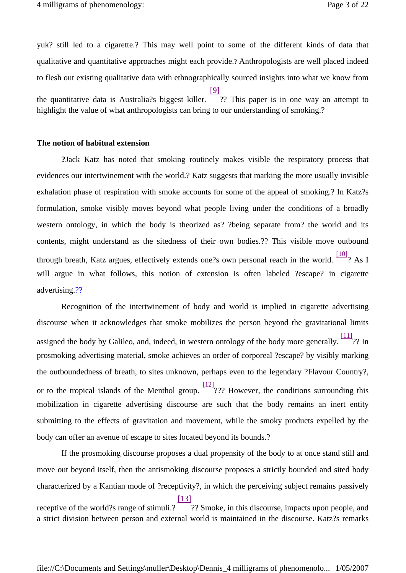yuk? still led to a cigarette.? This may well point to some of the different kinds of data that qualitative and quantitative approaches might each provide.? Anthropologists are well placed indeed to flesh out existing qualitative data with ethnographically sourced insights into what we know from the quantitative data is Australia?s biggest killer. [9] ?? This paper is in one way an attempt to highlight the value of what anthropologists can bring to our understanding of smoking.?

# **The notion of habitual extension**

**?**Jack Katz has noted that smoking routinely makes visible the respiratory process that evidences our intertwinement with the world.? Katz suggests that marking the more usually invisible exhalation phase of respiration with smoke accounts for some of the appeal of smoking.? In Katz?s formulation, smoke visibly moves beyond what people living under the conditions of a broadly western ontology, in which the body is theorized as? ?being separate from? the world and its contents, might understand as the sitedness of their own bodies.?? This visible move outbound through breath, Katz argues, effectively extends one?s own personal reach in the world.  $\frac{110}{2}$ ? As I will argue in what follows, this notion of extension is often labeled ?escape? in cigarette advertising.??

Recognition of the intertwinement of body and world is implied in cigarette advertising discourse when it acknowledges that smoke mobilizes the person beyond the gravitational limits assigned the body by Galileo, and, indeed, in western ontology of the body more generally.  $\frac{[11]}{?}$ ? In prosmoking advertising material, smoke achieves an order of corporeal ?escape? by visibly marking the outboundedness of breath, to sites unknown, perhaps even to the legendary ?Flavour Country?, or to the tropical islands of the Menthol group.  $\frac{[12]}{[2]}$ ??? However, the conditions surrounding this mobilization in cigarette advertising discourse are such that the body remains an inert entity submitting to the effects of gravitation and movement, while the smoky products expelled by the body can offer an avenue of escape to sites located beyond its bounds.?

If the prosmoking discourse proposes a dual propensity of the body to at once stand still and move out beyond itself, then the antismoking discourse proposes a strictly bounded and sited body characterized by a Kantian mode of ?receptivity?, in which the perceiving subject remains passively receptive of the world?s range of stimuli.? [13] ?? Smoke, in this discourse, impacts upon people, and a strict division between person and external world is maintained in the discourse. Katz?s remarks

### file://C:\Documents and Settings\muller\Desktop\Dennis\_4 milligrams of phenomenolo... 1/05/2007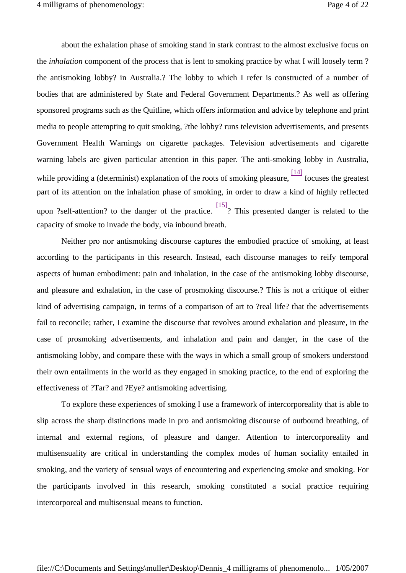about the exhalation phase of smoking stand in stark contrast to the almost exclusive focus on the *inhalation* component of the process that is lent to smoking practice by what I will loosely term ? the antismoking lobby? in Australia.? The lobby to which I refer is constructed of a number of bodies that are administered by State and Federal Government Departments.? As well as offering sponsored programs such as the Quitline, which offers information and advice by telephone and print media to people attempting to quit smoking, ?the lobby? runs television advertisements, and presents Government Health Warnings on cigarette packages. Television advertisements and cigarette warning labels are given particular attention in this paper. The anti-smoking lobby in Australia, while providing a (determinist) explanation of the roots of smoking pleasure,  $\frac{1141}{110}$  focuses the greatest part of its attention on the inhalation phase of smoking, in order to draw a kind of highly reflected upon ?self-attention? to the danger of the practice.  $\frac{[15]}{[15]}$ ? This presented danger is related to the capacity of smoke to invade the body, via inbound breath.

Neither pro nor antismoking discourse captures the embodied practice of smoking, at least according to the participants in this research. Instead, each discourse manages to reify temporal aspects of human embodiment: pain and inhalation, in the case of the antismoking lobby discourse, and pleasure and exhalation, in the case of prosmoking discourse.? This is not a critique of either kind of advertising campaign, in terms of a comparison of art to ?real life? that the advertisements fail to reconcile; rather, I examine the discourse that revolves around exhalation and pleasure, in the case of prosmoking advertisements, and inhalation and pain and danger, in the case of the antismoking lobby, and compare these with the ways in which a small group of smokers understood their own entailments in the world as they engaged in smoking practice, to the end of exploring the effectiveness of ?Tar? and ?Eye? antismoking advertising.

To explore these experiences of smoking I use a framework of intercorporeality that is able to slip across the sharp distinctions made in pro and antismoking discourse of outbound breathing, of internal and external regions, of pleasure and danger. Attention to intercorporeality and multisensuality are critical in understanding the complex modes of human sociality entailed in smoking, and the variety of sensual ways of encountering and experiencing smoke and smoking. For the participants involved in this research, smoking constituted a social practice requiring intercorporeal and multisensual means to function.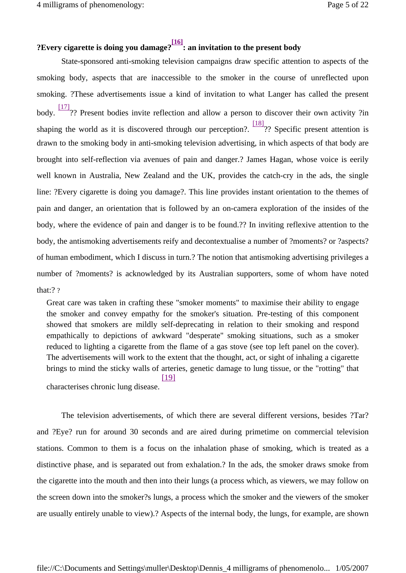# **?Every cigarette is doing you damage?[16]: an invitation to the present body**

State-sponsored anti-smoking television campaigns draw specific attention to aspects of the smoking body, aspects that are inaccessible to the smoker in the course of unreflected upon smoking. ?These advertisements issue a kind of invitation to what Langer has called the present body.  $\frac{[17]}{[17]}$ ?? Present bodies invite reflection and allow a person to discover their own activity ?in shaping the world as it is discovered through our perception?.  $\frac{181}{2}$ ?? Specific present attention is drawn to the smoking body in anti-smoking television advertising, in which aspects of that body are brought into self-reflection via avenues of pain and danger.? James Hagan, whose voice is eerily well known in Australia, New Zealand and the UK, provides the catch-cry in the ads, the single line: ?Every cigarette is doing you damage?. This line provides instant orientation to the themes of pain and danger, an orientation that is followed by an on-camera exploration of the insides of the body, where the evidence of pain and danger is to be found.?? In inviting reflexive attention to the body, the antismoking advertisements reify and decontextualise a number of ?moments? or ?aspects? of human embodiment, which I discuss in turn.? The notion that antismoking advertising privileges a number of ?moments? is acknowledged by its Australian supporters, some of whom have noted that:??

Great care was taken in crafting these "smoker moments" to maximise their ability to engage the smoker and convey empathy for the smoker's situation. Pre-testing of this component showed that smokers are mildly self-deprecating in relation to their smoking and respond empathically to depictions of awkward "desperate" smoking situations, such as a smoker reduced to lighting a cigarette from the flame of a gas stove (see top left panel on the cover). The advertisements will work to the extent that the thought, act, or sight of inhaling a cigarette brings to mind the sticky walls of arteries, genetic damage to lung tissue, or the "rotting" that characterises chronic lung disease. [19]

The television advertisements, of which there are several different versions, besides ?Tar? and ?Eye? run for around 30 seconds and are aired during primetime on commercial television stations. Common to them is a focus on the inhalation phase of smoking, which is treated as a distinctive phase, and is separated out from exhalation.? In the ads, the smoker draws smoke from the cigarette into the mouth and then into their lungs (a process which, as viewers, we may follow on the screen down into the smoker?s lungs, a process which the smoker and the viewers of the smoker are usually entirely unable to view).? Aspects of the internal body, the lungs, for example, are shown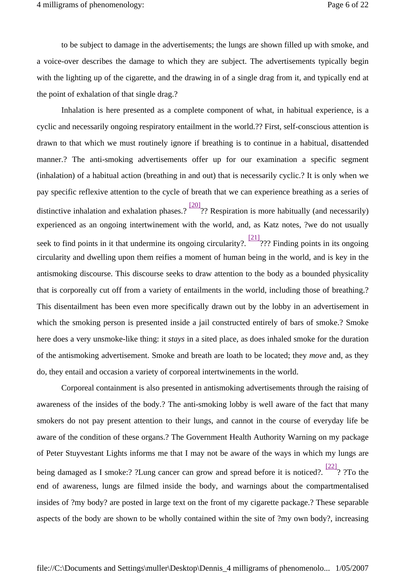to be subject to damage in the advertisements; the lungs are shown filled up with smoke, and a voice-over describes the damage to which they are subject. The advertisements typically begin with the lighting up of the cigarette, and the drawing in of a single drag from it, and typically end at the point of exhalation of that single drag.?

Inhalation is here presented as a complete component of what, in habitual experience, is a cyclic and necessarily ongoing respiratory entailment in the world.?? First, self-conscious attention is drawn to that which we must routinely ignore if breathing is to continue in a habitual, disattended manner.? The anti-smoking advertisements offer up for our examination a specific segment (inhalation) of a habitual action (breathing in and out) that is necessarily cyclic.? It is only when we pay specific reflexive attention to the cycle of breath that we can experience breathing as a series of distinctive inhalation and exhalation phases.?  $\frac{[20]}{[20]}$ ?? Respiration is more habitually (and necessarily) experienced as an ongoing intertwinement with the world, and, as Katz notes, ?we do not usually seek to find points in it that undermine its ongoing circularity?.  $\frac{[21]}{[22]}$ ??? Finding points in its ongoing circularity and dwelling upon them reifies a moment of human being in the world, and is key in the antismoking discourse. This discourse seeks to draw attention to the body as a bounded physicality that is corporeally cut off from a variety of entailments in the world, including those of breathing.? This disentailment has been even more specifically drawn out by the lobby in an advertisement in which the smoking person is presented inside a jail constructed entirely of bars of smoke.? Smoke here does a very unsmoke-like thing: it *stays* in a sited place, as does inhaled smoke for the duration of the antismoking advertisement. Smoke and breath are loath to be located; they *move* and, as they do, they entail and occasion a variety of corporeal intertwinements in the world.

Corporeal containment is also presented in antismoking advertisements through the raising of awareness of the insides of the body.? The anti-smoking lobby is well aware of the fact that many smokers do not pay present attention to their lungs, and cannot in the course of everyday life be aware of the condition of these organs.? The Government Health Authority Warning on my package of Peter Stuyvestant Lights informs me that I may not be aware of the ways in which my lungs are being damaged as I smoke:? ?Lung cancer can grow and spread before it is noticed?. <sup>[22]</sup>? ?To the end of awareness, lungs are filmed inside the body, and warnings about the compartmentalised insides of ?my body? are posted in large text on the front of my cigarette package.? These separable aspects of the body are shown to be wholly contained within the site of ?my own body?, increasing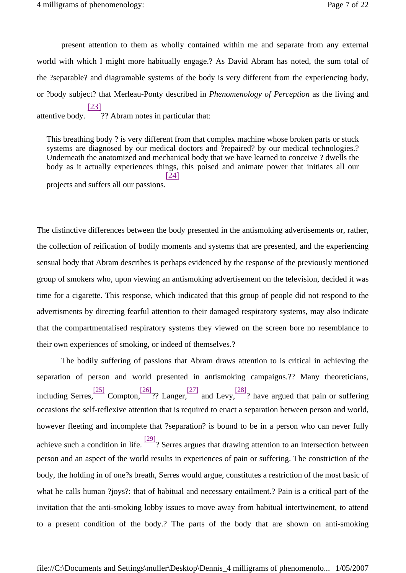present attention to them as wholly contained within me and separate from any external world with which I might more habitually engage.? As David Abram has noted, the sum total of the ?separable? and diagramable systems of the body is very different from the experiencing body, or ?body subject? that Merleau-Ponty described in *Phenomenology of Perception* as the living and attentive body. [23] ?? Abram notes in particular that:

This breathing body ? is very different from that complex machine whose broken parts or stuck systems are diagnosed by our medical doctors and ?repaired? by our medical technologies.? Underneath the anatomized and mechanical body that we have learned to conceive ? dwells the body as it actually experiences things, this poised and animate power that initiates all our projects and suffers all our passions. [24]

The distinctive differences between the body presented in the antismoking advertisements or, rather, the collection of reification of bodily moments and systems that are presented, and the experiencing sensual body that Abram describes is perhaps evidenced by the response of the previously mentioned group of smokers who, upon viewing an antismoking advertisement on the television, decided it was time for a cigarette. This response, which indicated that this group of people did not respond to the advertisments by directing fearful attention to their damaged respiratory systems, may also indicate that the compartmentalised respiratory systems they viewed on the screen bore no resemblance to their own experiences of smoking, or indeed of themselves.?

The bodily suffering of passions that Abram draws attention to is critical in achieving the separation of person and world presented in antismoking campaigns.?? Many theoreticians, including Serres,  $\frac{[25]}{[26]}$  Compton,  $\frac{[26]}{[27]}$  and Levy,  $\frac{[28]}{[28]}$ ? have argued that pain or suffering occasions the self-reflexive attention that is required to enact a separation between person and world, however fleeting and incomplete that ?separation? is bound to be in a person who can never fully achieve such a condition in life.  $\frac{[29]}{?}$  Serres argues that drawing attention to an intersection between person and an aspect of the world results in experiences of pain or suffering. The constriction of the body, the holding in of one?s breath, Serres would argue, constitutes a restriction of the most basic of what he calls human ?joys?: that of habitual and necessary entailment.? Pain is a critical part of the invitation that the anti-smoking lobby issues to move away from habitual intertwinement, to attend to a present condition of the body.? The parts of the body that are shown on anti-smoking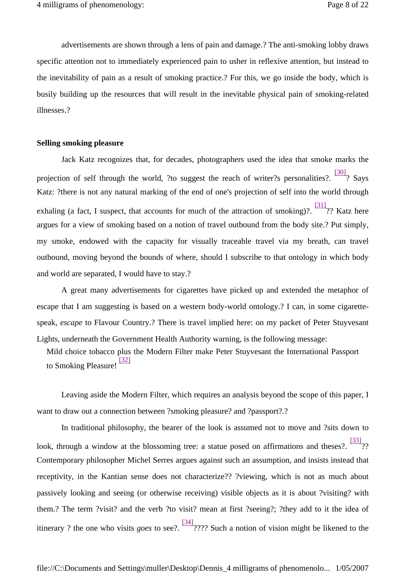advertisements are shown through a lens of pain and damage.? The anti-smoking lobby draws specific attention not to immediately experienced pain to usher in reflexive attention, but instead to the inevitability of pain as a result of smoking practice.? For this, we go inside the body, which is busily building up the resources that will result in the inevitable physical pain of smoking-related illnesses.?

# **Selling smoking pleasure**

Jack Katz recognizes that, for decades, photographers used the idea that smoke marks the projection of self through the world, ?to suggest the reach of writer?s personalities?.  $\frac{[30]}{?}$  Says Katz: ?there is not any natural marking of the end of one's projection of self into the world through exhaling (a fact, I suspect, that accounts for much of the attraction of smoking)?.  $\frac{[31]}{[32]}$ ?? Katz here argues for a view of smoking based on a notion of travel outbound from the body site.? Put simply, my smoke, endowed with the capacity for visually traceable travel via my breath, can travel outbound, moving beyond the bounds of where, should I subscribe to that ontology in which body and world are separated, I would have to stay.?

A great many advertisements for cigarettes have picked up and extended the metaphor of escape that I am suggesting is based on a western body-world ontology.? I can, in some cigarettespeak, *escape* to Flavour Country.? There is travel implied here: on my packet of Peter Stuyvesant Lights, underneath the Government Health Authority warning, is the following message:

Mild choice tobacco plus the Modern Filter make Peter Stuyvesant the International Passport to Smoking Pleasure! [32]

Leaving aside the Modern Filter, which requires an analysis beyond the scope of this paper, I want to draw out a connection between ?smoking pleasure? and ?passport?.?

In traditional philosophy, the bearer of the look is assumed not to move and ?sits down to look, through a window at the blossoming tree: a statue posed on affirmations and theses?. <sup>[33]</sup>?? Contemporary philosopher Michel Serres argues against such an assumption, and insists instead that receptivity, in the Kantian sense does not characterize?? ?viewing, which is not as much about passively looking and seeing (or otherwise receiving) visible objects as it is about ?visiting? with them.? The term ?visit? and the verb ?to visit? mean at first ?seeing?; ?they add to it the idea of itinerary ? the one who visits *goes* to see?.  $\frac{341}{2222}$ ???? Such a notion of vision might be likened to the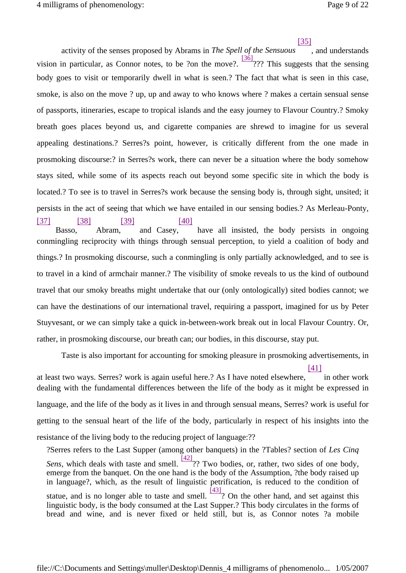# [35]

activity of the senses proposed by Abrams in *The Spell of the Sensuous* , and understands vision in particular, as Connor notes, to be ?on the move?.  $\frac{[36]}{?}$ ??? This suggests that the sensing body goes to visit or temporarily dwell in what is seen.? The fact that what is seen in this case, smoke, is also on the move ? up, up and away to who knows where ? makes a certain sensual sense of passports, itineraries, escape to tropical islands and the easy journey to Flavour Country.? Smoky breath goes places beyond us, and cigarette companies are shrewd to imagine for us several appealing destinations.? Serres?s point, however, is critically different from the one made in prosmoking discourse:? in Serres?s work, there can never be a situation where the body somehow stays sited, while some of its aspects reach out beyond some specific site in which the body is located.? To see is to travel in Serres?s work because the sensing body is, through sight, unsited; it persists in the act of seeing that which we have entailed in our sensing bodies.? As Merleau-Ponty, [37] [38] [39] [40]

 Basso, Abram, and Casey, have all insisted, the body persists in ongoing conmingling reciprocity with things through sensual perception, to yield a coalition of body and things.? In prosmoking discourse, such a conmingling is only partially acknowledged, and to see is to travel in a kind of armchair manner.? The visibility of smoke reveals to us the kind of outbound travel that our smoky breaths might undertake that our (only ontologically) sited bodies cannot; we can have the destinations of our international travel, requiring a passport, imagined for us by Peter Stuyvesant, or we can simply take a quick in-between-work break out in local Flavour Country. Or, rather, in prosmoking discourse, our breath can; our bodies, in this discourse, stay put.

Taste is also important for accounting for smoking pleasure in prosmoking advertisements, in at least two ways. Serres? work is again useful here.? As I have noted elsewhere, [41] in other work dealing with the fundamental differences between the life of the body as it might be expressed in language, and the life of the body as it lives in and through sensual means, Serres? work is useful for getting to the sensual heart of the life of the body, particularly in respect of his insights into the resistance of the living body to the reducing project of language:??

?Serres refers to the Last Supper (among other banquets) in the ?Tables? section of *Les Cinq Sens*, which deals with taste and smell.  $\frac{[42]}{?}$ ? Two bodies, or, rather, two sides of one body, emerge from the banquet. On the one hand is the body of the Assumption, ?the body raised up in language?, which, as the result of linguistic petrification, is reduced to the condition of statue, and is no longer able to taste and smell.  $\frac{[43]}{?}$  On the other hand, and set against this linguistic body, is the body consumed at the Last Supper.? This body circulates in the forms of bread and wine, and is never fixed or held still, but is, as Connor notes ?a mobile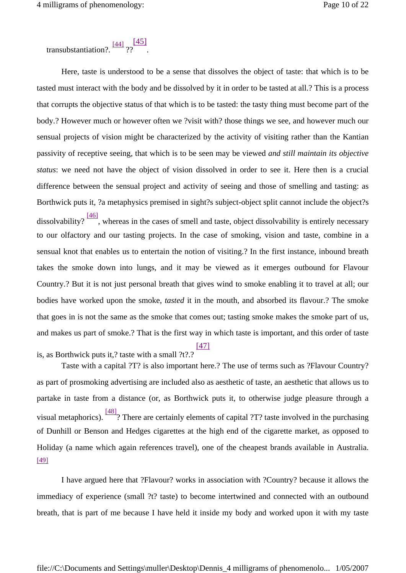transubstantiation?.  $\frac{[44]}{?}$ ?? .

Here, taste is understood to be a sense that dissolves the object of taste: that which is to be tasted must interact with the body and be dissolved by it in order to be tasted at all.? This is a process that corrupts the objective status of that which is to be tasted: the tasty thing must become part of the body.? However much or however often we ?visit with? those things we see, and however much our sensual projects of vision might be characterized by the activity of visiting rather than the Kantian passivity of receptive seeing, that which is to be seen may be viewed *and still maintain its objective status*: we need not have the object of vision dissolved in order to see it. Here then is a crucial difference between the sensual project and activity of seeing and those of smelling and tasting: as Borthwick puts it, ?a metaphysics premised in sight?s subject-object split cannot include the object?s dissolvability?  $\frac{[46]}{]}$ , whereas in the cases of smell and taste, object dissolvability is entirely necessary to our olfactory and our tasting projects. In the case of smoking, vision and taste, combine in a sensual knot that enables us to entertain the notion of visiting.? In the first instance, inbound breath takes the smoke down into lungs, and it may be viewed as it emerges outbound for Flavour Country.? But it is not just personal breath that gives wind to smoke enabling it to travel at all; our bodies have worked upon the smoke, *tasted* it in the mouth, and absorbed its flavour.? The smoke that goes in is not the same as the smoke that comes out; tasting smoke makes the smoke part of us, and makes us part of smoke.? That is the first way in which taste is important, and this order of taste [47]

is, as Borthwick puts it,? taste with a small ?t?.?

Taste with a capital ?T? is also important here.? The use of terms such as ?Flavour Country? as part of prosmoking advertising are included also as aesthetic of taste, an aesthetic that allows us to partake in taste from a distance (or, as Borthwick puts it, to otherwise judge pleasure through a visual metaphorics). <sup>[48]</sup>? There are certainly elements of capital ?T? taste involved in the purchasing of Dunhill or Benson and Hedges cigarettes at the high end of the cigarette market, as opposed to Holiday (a name which again references travel), one of the cheapest brands available in Australia. [49]

I have argued here that ?Flavour? works in association with ?Country? because it allows the immediacy of experience (small ?t? taste) to become intertwined and connected with an outbound breath, that is part of me because I have held it inside my body and worked upon it with my taste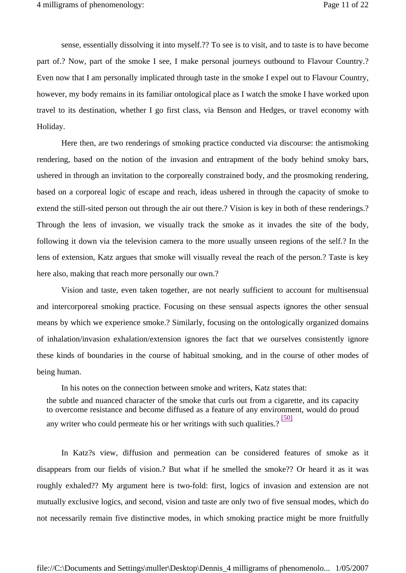sense, essentially dissolving it into myself.?? To see is to visit, and to taste is to have become part of.? Now, part of the smoke I see, I make personal journeys outbound to Flavour Country.? Even now that I am personally implicated through taste in the smoke I expel out to Flavour Country, however, my body remains in its familiar ontological place as I watch the smoke I have worked upon travel to its destination, whether I go first class, via Benson and Hedges, or travel economy with Holiday.

Here then, are two renderings of smoking practice conducted via discourse: the antismoking rendering, based on the notion of the invasion and entrapment of the body behind smoky bars, ushered in through an invitation to the corporeally constrained body, and the prosmoking rendering, based on a corporeal logic of escape and reach, ideas ushered in through the capacity of smoke to extend the still-sited person out through the air out there.? Vision is key in both of these renderings.? Through the lens of invasion, we visually track the smoke as it invades the site of the body, following it down via the television camera to the more usually unseen regions of the self.? In the lens of extension, Katz argues that smoke will visually reveal the reach of the person.? Taste is key here also, making that reach more personally our own.?

Vision and taste, even taken together, are not nearly sufficient to account for multisensual and intercorporeal smoking practice. Focusing on these sensual aspects ignores the other sensual means by which we experience smoke.? Similarly, focusing on the ontologically organized domains of inhalation/invasion exhalation/extension ignores the fact that we ourselves consistently ignore these kinds of boundaries in the course of habitual smoking, and in the course of other modes of being human.

In his notes on the connection between smoke and writers, Katz states that: the subtle and nuanced character of the smoke that curls out from a cigarette, and its capacity to overcome resistance and become diffused as a feature of any environment, would do proud any writer who could permeate his or her writings with such qualities.?  $\frac{[50]}{[50]}$ 

In Katz?s view, diffusion and permeation can be considered features of smoke as it disappears from our fields of vision.? But what if he smelled the smoke?? Or heard it as it was roughly exhaled?? My argument here is two-fold: first, logics of invasion and extension are not mutually exclusive logics, and second, vision and taste are only two of five sensual modes, which do not necessarily remain five distinctive modes, in which smoking practice might be more fruitfully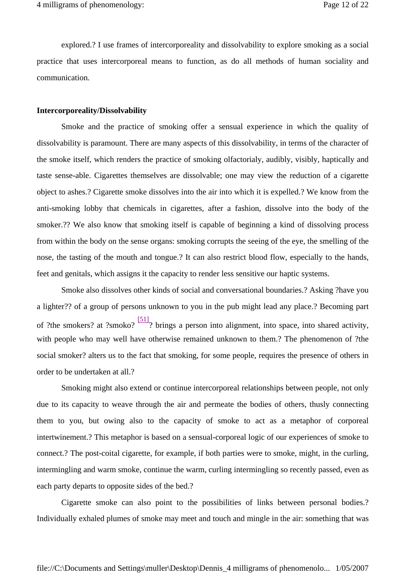explored.? I use frames of intercorporeality and dissolvability to explore smoking as a social practice that uses intercorporeal means to function, as do all methods of human sociality and communication.

# **Intercorporeality/Dissolvability**

Smoke and the practice of smoking offer a sensual experience in which the quality of dissolvability is paramount. There are many aspects of this dissolvability, in terms of the character of the smoke itself, which renders the practice of smoking olfactorialy, audibly, visibly, haptically and taste sense-able. Cigarettes themselves are dissolvable; one may view the reduction of a cigarette object to ashes.? Cigarette smoke dissolves into the air into which it is expelled.? We know from the anti-smoking lobby that chemicals in cigarettes, after a fashion, dissolve into the body of the smoker.?? We also know that smoking itself is capable of beginning a kind of dissolving process from within the body on the sense organs: smoking corrupts the seeing of the eye, the smelling of the nose, the tasting of the mouth and tongue.? It can also restrict blood flow, especially to the hands, feet and genitals, which assigns it the capacity to render less sensitive our haptic systems.

Smoke also dissolves other kinds of social and conversational boundaries.? Asking ?have you a lighter?? of a group of persons unknown to you in the pub might lead any place.? Becoming part of ?the smokers? at ?smoko?  $\frac{[51]}{[51]}$ ? brings a person into alignment, into space, into shared activity, with people who may well have otherwise remained unknown to them.? The phenomenon of ?the social smoker? alters us to the fact that smoking, for some people, requires the presence of others in order to be undertaken at all.?

Smoking might also extend or continue intercorporeal relationships between people, not only due to its capacity to weave through the air and permeate the bodies of others, thusly connecting them to you, but owing also to the capacity of smoke to act as a metaphor of corporeal intertwinement.? This metaphor is based on a sensual-corporeal logic of our experiences of smoke to connect.? The post-coital cigarette, for example, if both parties were to smoke, might, in the curling, intermingling and warm smoke, continue the warm, curling intermingling so recently passed, even as each party departs to opposite sides of the bed.?

Cigarette smoke can also point to the possibilities of links between personal bodies.? Individually exhaled plumes of smoke may meet and touch and mingle in the air: something that was

#### file://C:\Documents and Settings\muller\Desktop\Dennis\_4 milligrams of phenomenolo... 1/05/2007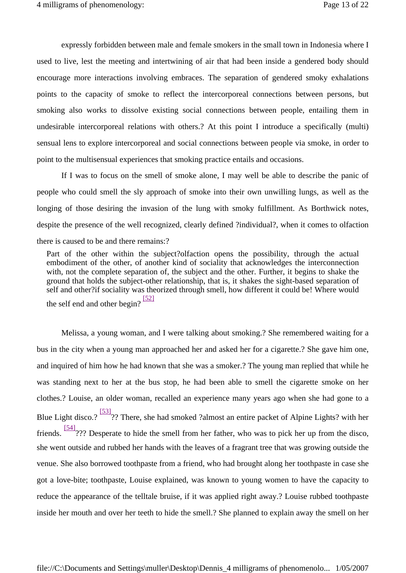expressly forbidden between male and female smokers in the small town in Indonesia where I used to live, lest the meeting and intertwining of air that had been inside a gendered body should encourage more interactions involving embraces. The separation of gendered smoky exhalations points to the capacity of smoke to reflect the intercorporeal connections between persons, but smoking also works to dissolve existing social connections between people, entailing them in undesirable intercorporeal relations with others.? At this point I introduce a specifically (multi) sensual lens to explore intercorporeal and social connections between people via smoke, in order to point to the multisensual experiences that smoking practice entails and occasions.

If I was to focus on the smell of smoke alone, I may well be able to describe the panic of people who could smell the sly approach of smoke into their own unwilling lungs, as well as the longing of those desiring the invasion of the lung with smoky fulfillment. As Borthwick notes, despite the presence of the well recognized, clearly defined ?individual?, when it comes to olfaction there is caused to be and there remains:?

Part of the other within the subject?olfaction opens the possibility, through the actual embodiment of the other, of another kind of sociality that acknowledges the interconnection with, not the complete separation of, the subject and the other. Further, it begins to shake the ground that holds the subject-other relationship, that is, it shakes the sight-based separation of self and other?if sociality was theorized through smell, how different it could be! Where would the self end and other begin? [52]

Melissa, a young woman, and I were talking about smoking.? She remembered waiting for a bus in the city when a young man approached her and asked her for a cigarette.? She gave him one, and inquired of him how he had known that she was a smoker.? The young man replied that while he was standing next to her at the bus stop, he had been able to smell the cigarette smoke on her clothes.? Louise, an older woman, recalled an experience many years ago when she had gone to a Blue Light disco.? <sup>[53]</sup>?? There, she had smoked ?almost an entire packet of Alpine Lights? with her friends. <sup>[54]</sup>??? Desperate to hide the smell from her father, who was to pick her up from the disco, she went outside and rubbed her hands with the leaves of a fragrant tree that was growing outside the venue. She also borrowed toothpaste from a friend, who had brought along her toothpaste in case she got a love-bite; toothpaste, Louise explained, was known to young women to have the capacity to reduce the appearance of the telltale bruise, if it was applied right away.? Louise rubbed toothpaste inside her mouth and over her teeth to hide the smell.? She planned to explain away the smell on her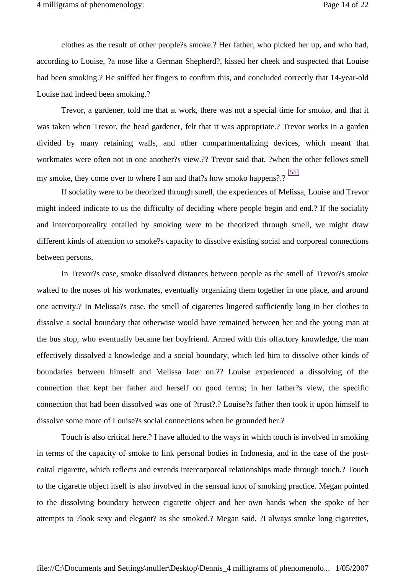clothes as the result of other people?s smoke.? Her father, who picked her up, and who had, according to Louise, ?a nose like a German Shepherd?, kissed her cheek and suspected that Louise had been smoking.? He sniffed her fingers to confirm this, and concluded correctly that 14-year-old Louise had indeed been smoking.?

Trevor, a gardener, told me that at work, there was not a special time for smoko, and that it was taken when Trevor, the head gardener, felt that it was appropriate.? Trevor works in a garden divided by many retaining walls, and other compartmentalizing devices, which meant that workmates were often not in one another?s view.?? Trevor said that, ?when the other fellows smell my smoke, they come over to where I am and that?s how smoko happens?.? [55]

If sociality were to be theorized through smell, the experiences of Melissa, Louise and Trevor might indeed indicate to us the difficulty of deciding where people begin and end.? If the sociality and intercorporeality entailed by smoking were to be theorized through smell, we might draw different kinds of attention to smoke?s capacity to dissolve existing social and corporeal connections between persons.

In Trevor?s case, smoke dissolved distances between people as the smell of Trevor?s smoke wafted to the noses of his workmates, eventually organizing them together in one place, and around one activity.? In Melissa?s case, the smell of cigarettes lingered sufficiently long in her clothes to dissolve a social boundary that otherwise would have remained between her and the young man at the bus stop, who eventually became her boyfriend. Armed with this olfactory knowledge, the man effectively dissolved a knowledge and a social boundary, which led him to dissolve other kinds of boundaries between himself and Melissa later on.?? Louise experienced a dissolving of the connection that kept her father and herself on good terms; in her father?s view, the specific connection that had been dissolved was one of ?trust?.? Louise?s father then took it upon himself to dissolve some more of Louise?s social connections when he grounded her.?

Touch is also critical here.? I have alluded to the ways in which touch is involved in smoking in terms of the capacity of smoke to link personal bodies in Indonesia, and in the case of the postcoital cigarette, which reflects and extends intercorporeal relationships made through touch.? Touch to the cigarette object itself is also involved in the sensual knot of smoking practice. Megan pointed to the dissolving boundary between cigarette object and her own hands when she spoke of her attempts to ?look sexy and elegant? as she smoked.? Megan said, ?I always smoke long cigarettes,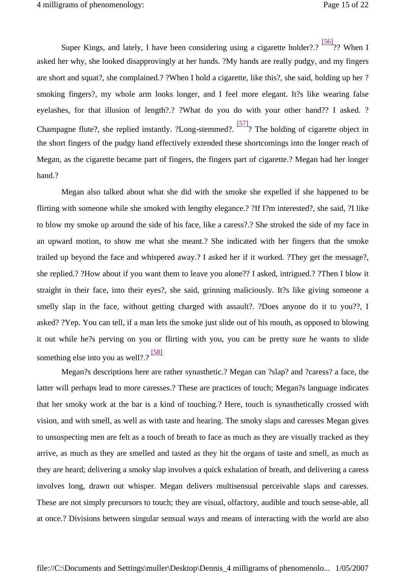Super Kings, and lately, I have been considering using a cigarette holder?.?  $\frac{[56]}{?}$ ? When I asked her why, she looked disapprovingly at her hands. ?My hands are really pudgy, and my fingers are short and squat?, she complained.? ?When I hold a cigarette, like this?, she said, holding up her ? smoking fingers?, my whole arm looks longer, and I feel more elegant. It?s like wearing false eyelashes, for that illusion of length?.? ?What do you do with your other hand?? I asked. ? Champagne flute?, she replied instantly. ?Long-stemmed?. [57]? The holding of cigarette object in the short fingers of the pudgy hand effectively extended these shortcomings into the longer reach of Megan, as the cigarette became part of fingers, the fingers part of cigarette.? Megan had her longer hand.?

Megan also talked about what she did with the smoke she expelled if she happened to be flirting with someone while she smoked with lengthy elegance.? ?If I?m interested?, she said, ?I like to blow my smoke up around the side of his face, like a caress?.? She stroked the side of my face in an upward motion, to show me what she meant.? She indicated with her fingers that the smoke trailed up beyond the face and whispered away.? I asked her if it worked. ?They get the message?, she replied.? ?How about if you want them to leave you alone?? I asked, intrigued.? ?Then I blow it straight in their face, into their eyes?, she said, grinning maliciously. It?s like giving someone a smelly slap in the face, without getting charged with assault?. ?Does anyone do it to you??, I asked? ?Yep. You can tell, if a man lets the smoke just slide out of his mouth, as opposed to blowing it out while he?s perving on you or flirting with you, you can be pretty sure he wants to slide something else into you as well?.?  $\frac{[58]}{[58]}$ 

Megan?s descriptions here are rather synasthetic.? Megan can ?slap? and ?caress? a face, the latter will perhaps lead to more caresses.? These are practices of touch; Megan?s language indicates that her smoky work at the bar is a kind of touching.? Here, touch is synasthetically crossed with vision, and with smell, as well as with taste and hearing. The smoky slaps and caresses Megan gives to unsuspecting men are felt as a touch of breath to face as much as they are visually tracked as they arrive, as much as they are smelled and tasted as they hit the organs of taste and smell, as much as they are heard; delivering a smoky slap involves a quick exhalation of breath, and delivering a caress involves long, drawn out whisper. Megan delivers multisensual perceivable slaps and caresses. These are not simply precursors to touch; they are visual, olfactory, audible and touch sense-able, all at once.? Divisions between singular sensual ways and means of interacting with the world are also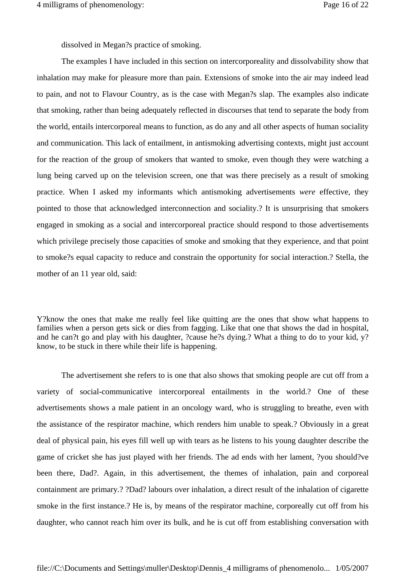dissolved in Megan?s practice of smoking.

The examples I have included in this section on intercorporeality and dissolvability show that inhalation may make for pleasure more than pain. Extensions of smoke into the air may indeed lead to pain, and not to Flavour Country, as is the case with Megan?s slap. The examples also indicate that smoking, rather than being adequately reflected in discourses that tend to separate the body from the world, entails intercorporeal means to function, as do any and all other aspects of human sociality and communication. This lack of entailment, in antismoking advertising contexts, might just account for the reaction of the group of smokers that wanted to smoke, even though they were watching a lung being carved up on the television screen, one that was there precisely as a result of smoking practice. When I asked my informants which antismoking advertisements *were* effective, they pointed to those that acknowledged interconnection and sociality.? It is unsurprising that smokers engaged in smoking as a social and intercorporeal practice should respond to those advertisements which privilege precisely those capacities of smoke and smoking that they experience, and that point to smoke?s equal capacity to reduce and constrain the opportunity for social interaction.? Stella, the mother of an 11 year old, said:

Y?know the ones that make me really feel like quitting are the ones that show what happens to families when a person gets sick or dies from fagging. Like that one that shows the dad in hospital, and he can?t go and play with his daughter, ?cause he?s dying.? What a thing to do to your kid, y? know, to be stuck in there while their life is happening.

The advertisement she refers to is one that also shows that smoking people are cut off from a variety of social-communicative intercorporeal entailments in the world.? One of these advertisements shows a male patient in an oncology ward, who is struggling to breathe, even with the assistance of the respirator machine, which renders him unable to speak.? Obviously in a great deal of physical pain, his eyes fill well up with tears as he listens to his young daughter describe the game of cricket she has just played with her friends. The ad ends with her lament, ?you should?ve been there, Dad?. Again, in this advertisement, the themes of inhalation, pain and corporeal containment are primary.? ?Dad? labours over inhalation, a direct result of the inhalation of cigarette smoke in the first instance.? He is, by means of the respirator machine, corporeally cut off from his daughter, who cannot reach him over its bulk, and he is cut off from establishing conversation with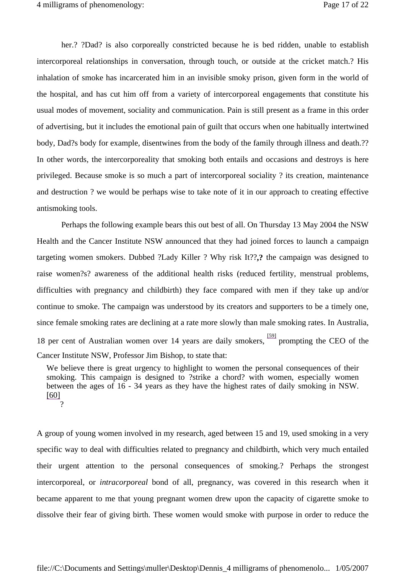her.? ?Dad? is also corporeally constricted because he is bed ridden, unable to establish intercorporeal relationships in conversation, through touch, or outside at the cricket match.? His inhalation of smoke has incarcerated him in an invisible smoky prison, given form in the world of the hospital, and has cut him off from a variety of intercorporeal engagements that constitute his usual modes of movement, sociality and communication. Pain is still present as a frame in this order of advertising, but it includes the emotional pain of guilt that occurs when one habitually intertwined body, Dad?s body for example, disentwines from the body of the family through illness and death.?? In other words, the intercorporeality that smoking both entails and occasions and destroys is here privileged. Because smoke is so much a part of intercorporeal sociality ? its creation, maintenance and destruction ? we would be perhaps wise to take note of it in our approach to creating effective antismoking tools.

Perhaps the following example bears this out best of all. On Thursday 13 May 2004 the NSW Health and the Cancer Institute NSW announced that they had joined forces to launch a campaign targeting women smokers. Dubbed ?Lady Killer ? Why risk It??**,?** the campaign was designed to raise women?s? awareness of the additional health risks (reduced fertility, menstrual problems, difficulties with pregnancy and childbirth) they face compared with men if they take up and/or continue to smoke. The campaign was understood by its creators and supporters to be a timely one, since female smoking rates are declining at a rate more slowly than male smoking rates. In Australia, 18 per cent of Australian women over 14 years are daily smokers,  $\frac{[59]}{[59]}$  prompting the CEO of the Cancer Institute NSW, Professor Jim Bishop, to state that:

We believe there is great urgency to highlight to women the personal consequences of their smoking. This campaign is designed to ?strike a chord? with women, especially women between the ages of 16 - 34 years as they have the highest rates of daily smoking in NSW. [60]  $\gamma$ 

A group of young women involved in my research, aged between 15 and 19, used smoking in a very specific way to deal with difficulties related to pregnancy and childbirth, which very much entailed their urgent attention to the personal consequences of smoking.? Perhaps the strongest intercorporeal, or *intracorporeal* bond of all, pregnancy, was covered in this research when it became apparent to me that young pregnant women drew upon the capacity of cigarette smoke to dissolve their fear of giving birth. These women would smoke with purpose in order to reduce the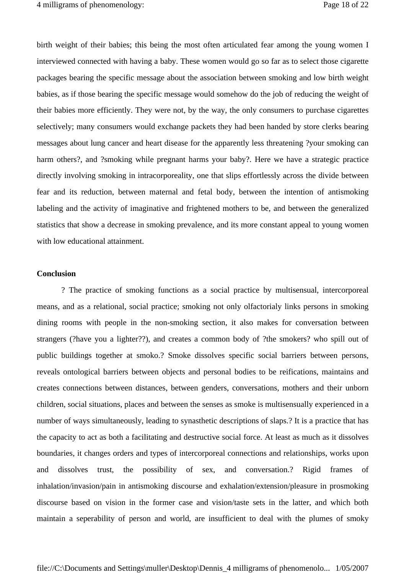birth weight of their babies; this being the most often articulated fear among the young women I interviewed connected with having a baby. These women would go so far as to select those cigarette packages bearing the specific message about the association between smoking and low birth weight babies, as if those bearing the specific message would somehow do the job of reducing the weight of their babies more efficiently. They were not, by the way, the only consumers to purchase cigarettes selectively; many consumers would exchange packets they had been handed by store clerks bearing messages about lung cancer and heart disease for the apparently less threatening ?your smoking can harm others?, and ?smoking while pregnant harms your baby?. Here we have a strategic practice directly involving smoking in intracorporeality, one that slips effortlessly across the divide between fear and its reduction, between maternal and fetal body, between the intention of antismoking labeling and the activity of imaginative and frightened mothers to be, and between the generalized statistics that show a decrease in smoking prevalence, and its more constant appeal to young women with low educational attainment.

# **Conclusion**

? The practice of smoking functions as a social practice by multisensual, intercorporeal means, and as a relational, social practice; smoking not only olfactorialy links persons in smoking dining rooms with people in the non-smoking section, it also makes for conversation between strangers (?have you a lighter??), and creates a common body of ?the smokers? who spill out of public buildings together at smoko.? Smoke dissolves specific social barriers between persons, reveals ontological barriers between objects and personal bodies to be reifications, maintains and creates connections between distances, between genders, conversations, mothers and their unborn children, social situations, places and between the senses as smoke is multisensually experienced in a number of ways simultaneously, leading to synasthetic descriptions of slaps.? It is a practice that has the capacity to act as both a facilitating and destructive social force. At least as much as it dissolves boundaries, it changes orders and types of intercorporeal connections and relationships, works upon and dissolves trust, the possibility of sex, and conversation.? Rigid frames of inhalation/invasion/pain in antismoking discourse and exhalation/extension/pleasure in prosmoking discourse based on vision in the former case and vision/taste sets in the latter, and which both maintain a seperability of person and world, are insufficient to deal with the plumes of smoky

#### file://C:\Documents and Settings\muller\Desktop\Dennis\_4 milligrams of phenomenolo... 1/05/2007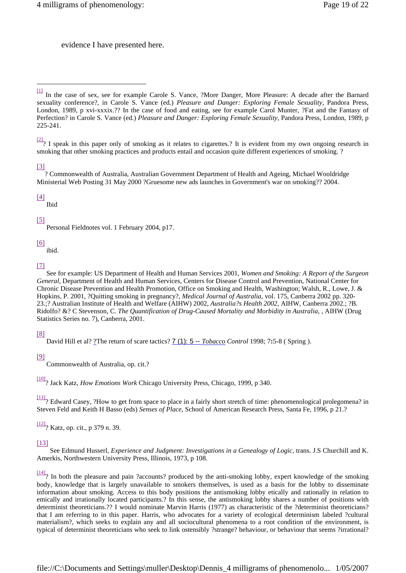evidence I have presented here.

 $\frac{[2]}{2}$ ? I speak in this paper only of smoking as it relates to cigarettes.? It is evident from my own ongoing research in smoking that other smoking practices and products entail and occasion quite different experiences of smoking. ?

### [3]

? Commonwealth of Australia, Australian Government Department of Health and Ageing, Michael Wooldridge Ministerial Web Posting 31 May 2000 ?Gruesome new ads launches in Government's war on smoking?? 2004.

#### [4]

Ibid

#### $[5]$

Personal Fieldnotes vol. 1 February 2004, p17.

#### [6]

ibid.

### [7]

 See for example: US Department of Health and Human Services 2001, *Women and Smoking: A Report of the Surgeon General*, Department of Health and Human Services, Centers for Disease Control and Prevention, National Center for Chronic Disease Prevention and Health Promotion, Office on Smoking and Health, Washington; Walsh, R., Lowe, J. & Hopkins, P. 2001, ?Quitting smoking in pregnancy?, *Medical Journal of Australia*, vol. 175, Canberra 2002 pp. 320- 23.;? Australian Institute of Health and Welfare (AIHW) 2002, *Australia?s Health 2002,* AIHW, Canberra 2002.; ?B. Ridolfo? &? C Stevenson, C. *The Quantification of Drug-Caused Mortality and Morbidity in Australia*, , AIHW (Drug Statistics Series no. 7), Canberra, 2001.

# [8]

```
 David Hill et al? ?The return of scare tactics? 7 (1): 5 -- Tobacco Control 1998; 7:5-8 ( Spring ).
```
# [9]

Commonwealth of Australia, op. cit.?

[10]? Jack Katz, *How Emotions Work* Chicago University Press, Chicago, 1999, p 340.

[11]? Edward Casey, ?How to get from space to place in a fairly short stretch of time: phenomenological prolegomena? in Steven Feld and Keith H Basso (eds) *Senses of Place*, School of American Research Press, Santa Fe, 1996, p 21.?

[12] ? Katz, op. cit., p 379 n. 39.

# [13]

 See Edmund Husserl, *Experience and Judgment: Investigations in a Genealogy of Logic*, trans. J.S Churchill and K. Amerkis, Northwestern University Press, Illinois, 1973, p 108.

[14]? In both the pleasure and pain ?accounts? produced by the anti-smoking lobby, expert knowledge of the smoking body, knowledge that is largely unavailable to smokers themselves, is used as a basis for the lobby to disseminate information about smoking. Access to this body positions the antismoking lobby etically and rationally in relation to emically and irrationally located participants.? In this sense, the antismoking lobby shares a number of positions with determinist theoreticians.?? I would nominate Marvin Harris (1977) as characteristic of the ?determinist theoreticians? that I am referring to in this paper. Harris, who advocates for a variety of ecological determinism labeled ?cultural materialism?, which seeks to explain any and all sociocultural phenomena to a root condition of the environment, is typical of determinist theoreticians who seek to link ostensibly ?strange? behaviour, or behaviour that seems ?irrational?

<sup>[1]</sup> In the case of sex, see for example Carole S. Vance, ?More Danger, More Pleasure: A decade after the Barnard sexuality conference?, in Carole S. Vance (ed.) *Pleasure and Danger: Exploring Female Sexuality,* Pandora Press, London, 1989, p xvi-xxxix.?? In the case of food and eating, see for example Carol Munter, ?Fat and the Fantasy of Perfection? in Carole S. Vance (ed.) *Pleasure and Danger: Exploring Female Sexuality,* Pandora Press, London, 1989, p 225-241.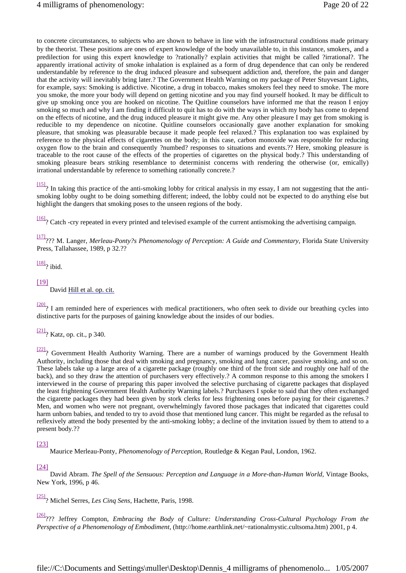to concrete circumstances, to subjects who are shown to behave in line with the infrastructural conditions made primary by the theorist. These positions are ones of expert knowledge of the body unavailable to, in this instance, smokers, and a predilection for using this expert knowledge to ?rationally? explain activities that might be called ?irrational?. The apparently irrational activity of smoke inhalation is explained as a form of drug dependence that can only be rendered understandable by reference to the drug induced pleasure and subsequent addiction and, therefore, the pain and danger that the activity will inevitably bring later.? The Government Health Warning on my package of Peter Stuyvesant Lights, for example, says: Smoking is addictive. Nicotine, a drug in tobacco, makes smokers feel they need to smoke. The more you smoke, the more your body will depend on getting nicotine and you may find yourself hooked. It may be difficult to give up smoking once you are hooked on nicotine. The Quitline counselors have informed me that the reason I enjoy smoking so much and why I am finding it difficult to quit has to do with the ways in which my body has come to depend on the effects of nicotine, and the drug induced pleasure it might give me. Any other pleasure I may get from smoking is reducible to my dependence on nicotine. Quitline counselors occasionally gave another explanation for smoking pleasure, that smoking was pleasurable because it made people feel relaxed.? This explanation too was explained by reference to the physical effects of cigarettes on the body; in this case, carbon monoxide was responsible for reducing oxygen flow to the brain and consequently ?numbed? responses to situations and events.?? Here, smoking pleasure is traceable to the root cause of the effects of the properties of cigarettes on the physical body.? This understanding of smoking pleasure bears striking resemblance to determinist concerns with rendering the otherwise (or, emically) irrational understandable by reference to something rationally concrete.?

 $\frac{[15]}{2}$ ? In taking this practice of the anti-smoking lobby for critical analysis in my essay, I am not suggesting that the antismoking lobby ought to be doing something different; indeed, the lobby could not be expected to do anything else but highlight the dangers that smoking poses to the unseen regions of the body.

 $\frac{[16]}{]}$ ? Catch -cry repeated in every printed and televised example of the current antismoking the advertising campaign.

[17]??? M. Langer, *Merleau-Ponty?s Phenomenology of Perception: A Guide and Commentary,* Florida State University Press, Tallahassee, 1989, p 32.??

 $\frac{[18]}{2}$ ? ibid.

[19]

David Hill et al. op. cit.

 $\frac{[20]}{2}$ ? I am reminded here of experiences with medical practitioners, who often seek to divide our breathing cycles into distinctive parts for the purposes of gaining knowledge about the insides of our bodies.

 $\frac{[21]}{2}$ ? Katz, op. cit., p 340.

<sup>[22]</sup>? Government Health Authority Warning. There are a number of warnings produced by the Government Health Authority, including those that deal with smoking and pregnancy, smoking and lung cancer, passive smoking, and so on. These labels take up a large area of a cigarette package (roughly one third of the front side and roughly one half of the back), and so they draw the attention of purchasers very effectively.? A common response to this among the smokers I interviewed in the course of preparing this paper involved the selective purchasing of cigarette packages that displayed the least frightening Government Health Authority Warning labels.? Purchasers I spoke to said that they often exchanged the cigarette packages they had been given by stork clerks for less frightening ones before paying for their cigarettes.? Men, and women who were not pregnant, overwhelmingly favored those packages that indicated that cigarettes could harm unborn babies, and tended to try to avoid those that mentioned lung cancer. This might be regarded as the refusal to reflexively attend the body presented by the anti-smoking lobby; a decline of the invitation issued by them to attend to a present body.??

#### [23]

Maurice Merleau-Ponty, *Phenomenology of Perception,* Routledge & Kegan Paul, London, 1962.

#### [24]

 David Abram. *The Spell of the Sensuous: Perception and Language in a More-than-Human World,* Vintage Books, New York, 1996, p 46.

[25]? Michel Serres, *Les Cinq Sens,* Hachette, Paris, 1998.

[26]??? Jeffrey Compton, *Embracing the Body of Culture: Understanding Cross-Cultural Psychology From the Perspective of a Phenomenology of Embodiment*, (http://home.earthlink.net/~rationalmystic.cultsoma.htm) 2001, p 4.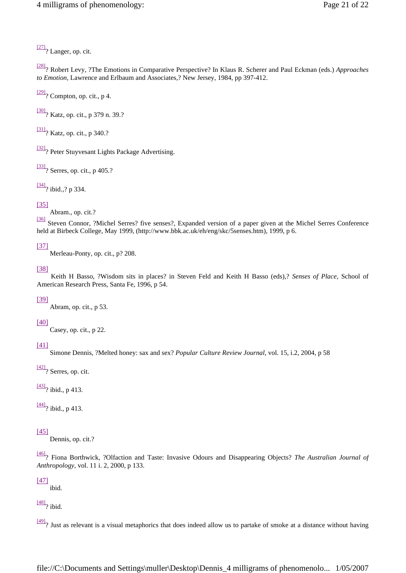$\frac{[27]}{2}$ ? Langer, op. cit.

[28]? Robert Levy, ?The Emotions in Comparative Perspective? In Klaus R. Scherer and Paul Eckman (eds.) *Approaches to Emotion,* Lawrence and Erlbaum and Associates,? New Jersey, 1984, pp 397-412.

 $\frac{[29]}{?}$  Compton, op. cit., p 4.

[30]<sub>2</sub> Katz, op. cit., p 379 n. 39.?

<sup>[31]</sup>? Katz, op. cit., p 340.?

[32]? Peter Stuyvesant Lights Package Advertising.

 $\frac{[33]}{2}$ ? Serres, op. cit., p 405.?

 $\frac{[34]}{[34]}$ ? ibid.,? p 334.

### [35]

Abram., op. cit.?

[36] Steven Connor, ?Michel Serres? five senses?, Expanded version of a paper given at the Michel Serres Conference held at Birbeck College, May 1999, (http://www.bbk.ac.uk/eh/eng/skc/5senses.htm), 1999, p 6.

#### [37]

Merleau-Ponty, op. cit., p? 208.

#### [38]

 Keith H Basso, ?Wisdom sits in places? in Steven Feld and Keith H Basso (eds),? *Senses of Place*, School of American Research Press, Santa Fe, 1996, p 54.

#### [39]

Abram, op. cit., p 53.

#### [40]

Casey, op. cit., p 22.

#### [41]

Simone Dennis, ?Melted honey: sax and sex? *Popular Culture Review Journal*, vol. 15, i.2, 2004, p 58

 $\frac{[42]}{?}$  Serres, op. cit.

 $\frac{[43]}{2}$ ? ibid., p 413.

 $\frac{[44]}{2}$ ? ibid., p 413.

# [45]

Dennis, op. cit.?

[46]? Fiona Borthwick, ?Olfaction and Taste: Invasive Odours and Disappearing Objects? *The Australian Journal of Anthropology*, vol. 11 i. 2, 2000, p 133.

# [47]

ibid.

 $\frac{[48]}{?}$  ibid.

 $\frac{[49]}{2}$ ? Just as relevant is a visual metaphorics that does indeed allow us to partake of smoke at a distance without having

file://C:\Documents and Settings\muller\Desktop\Dennis\_4 milligrams of phenomenolo... 1/05/2007